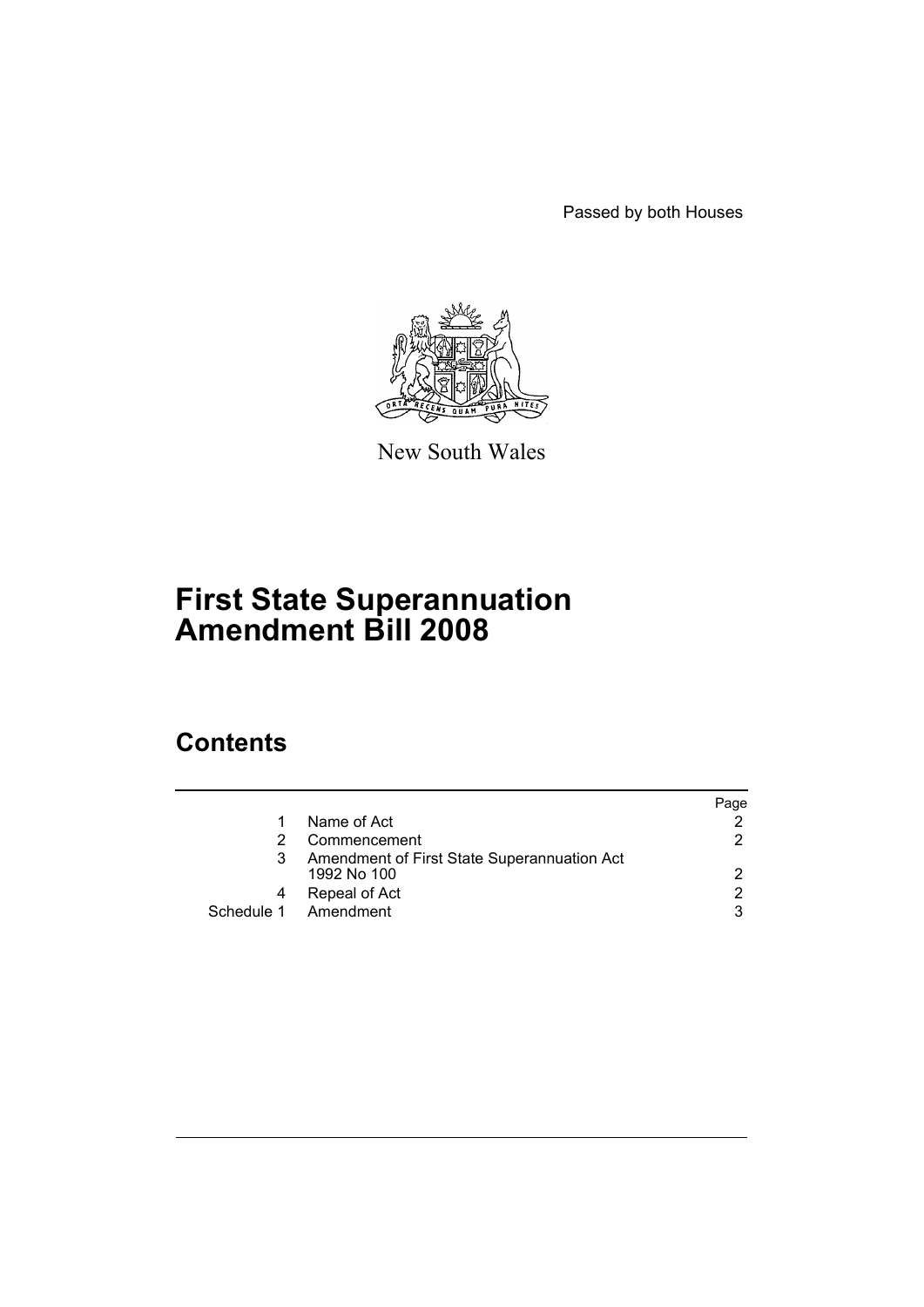Passed by both Houses



New South Wales

# **First State Superannuation Amendment Bill 2008**

### **Contents**

|   |                                                            | Page |
|---|------------------------------------------------------------|------|
|   | Name of Act                                                |      |
|   | Commencement                                               | 2.   |
| 3 | Amendment of First State Superannuation Act<br>1992 No 100 | 2    |
| 4 | Repeal of Act                                              | 2    |
|   | Schedule 1 Amendment                                       | 3    |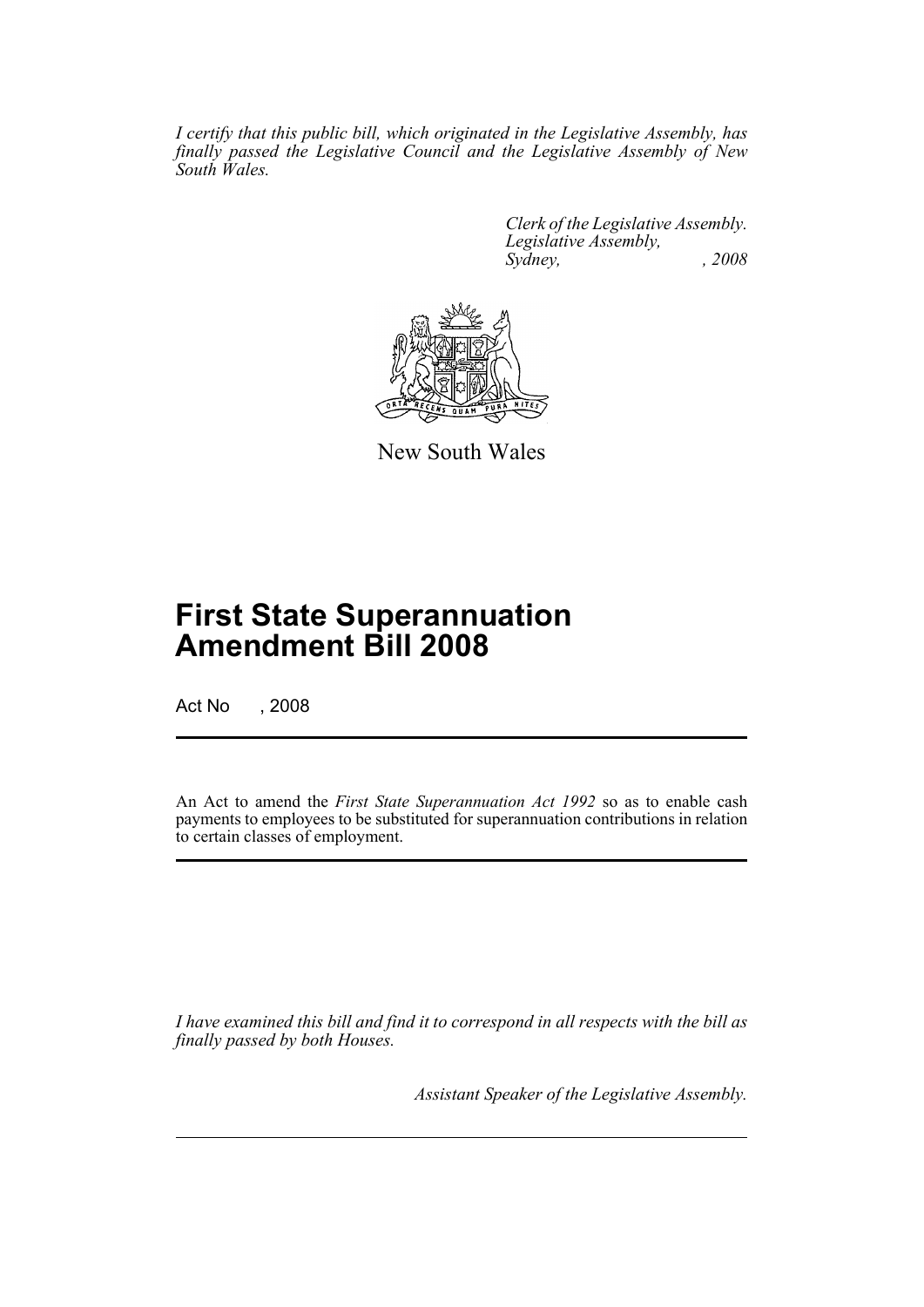*I certify that this public bill, which originated in the Legislative Assembly, has finally passed the Legislative Council and the Legislative Assembly of New South Wales.*

> *Clerk of the Legislative Assembly. Legislative Assembly, Sydney, , 2008*



New South Wales

## **First State Superannuation Amendment Bill 2008**

Act No , 2008

An Act to amend the *First State Superannuation Act 1992* so as to enable cash payments to employees to be substituted for superannuation contributions in relation to certain classes of employment.

*I have examined this bill and find it to correspond in all respects with the bill as finally passed by both Houses.*

*Assistant Speaker of the Legislative Assembly.*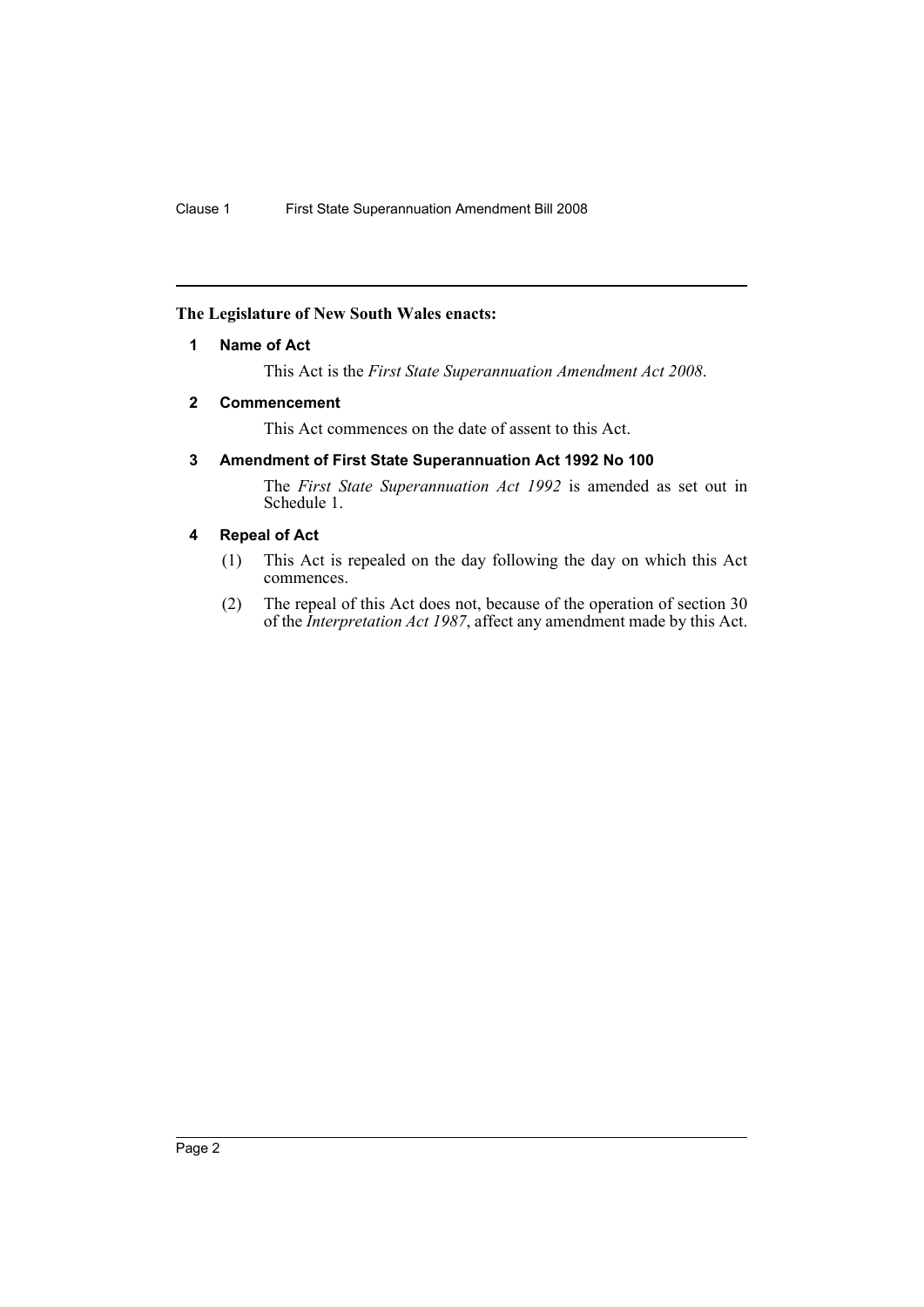#### <span id="page-2-0"></span>**The Legislature of New South Wales enacts:**

#### **1 Name of Act**

This Act is the *First State Superannuation Amendment Act 2008*.

#### <span id="page-2-1"></span>**2 Commencement**

This Act commences on the date of assent to this Act.

#### <span id="page-2-2"></span>**3 Amendment of First State Superannuation Act 1992 No 100**

The *First State Superannuation Act 1992* is amended as set out in Schedule 1.

#### <span id="page-2-3"></span>**4 Repeal of Act**

- (1) This Act is repealed on the day following the day on which this Act commences.
- (2) The repeal of this Act does not, because of the operation of section 30 of the *Interpretation Act 1987*, affect any amendment made by this Act.